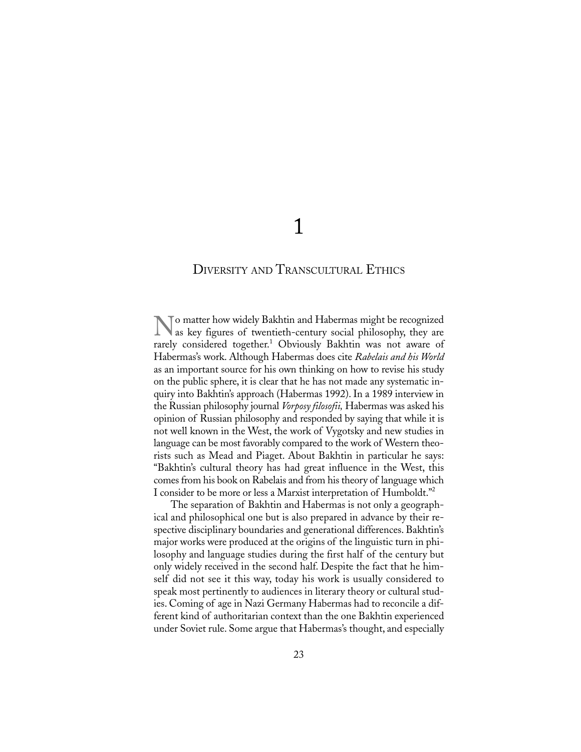1

# DIVERSITY AND TRANSCULTURAL ETHICS

No matter how widely Bakhtin and Habermas might be recognized<br>as key figures of twentieth-century social philosophy, they are rarely considered together.<sup>1</sup> Obviously Bakhtin was not aware of Habermas's work. Although Habermas does cite *Rabelais and his World* as an important source for his own thinking on how to revise his study on the public sphere, it is clear that he has not made any systematic inquiry into Bakhtin's approach (Habermas 1992). In a 1989 interview in the Russian philosophy journal *Vorposy filosofii,* Habermas was asked his opinion of Russian philosophy and responded by saying that while it is not well known in the West, the work of Vygotsky and new studies in language can be most favorably compared to the work of Western theorists such as Mead and Piaget. About Bakhtin in particular he says: "Bakhtin's cultural theory has had great influence in the West, this comes from his book on Rabelais and from his theory of language which I consider to be more or less a Marxist interpretation of Humboldt."<sup>2</sup>

The separation of Bakhtin and Habermas is not only a geographical and philosophical one but is also prepared in advance by their respective disciplinary boundaries and generational differences. Bakhtin's major works were produced at the origins of the linguistic turn in philosophy and language studies during the first half of the century but only widely received in the second half. Despite the fact that he himself did not see it this way, today his work is usually considered to speak most pertinently to audiences in literary theory or cultural studies. Coming of age in Nazi Germany Habermas had to reconcile a different kind of authoritarian context than the one Bakhtin experienced under Soviet rule. Some argue that Habermas's thought, and especially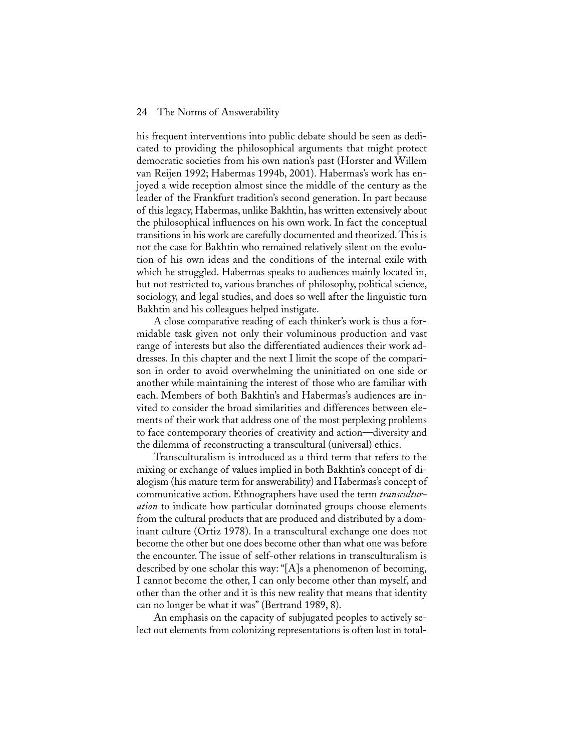his frequent interventions into public debate should be seen as dedicated to providing the philosophical arguments that might protect democratic societies from his own nation's past (Horster and Willem van Reijen 1992; Habermas 1994b, 2001). Habermas's work has enjoyed a wide reception almost since the middle of the century as the leader of the Frankfurt tradition's second generation. In part because of this legacy, Habermas, unlike Bakhtin, has written extensively about the philosophical influences on his own work. In fact the conceptual transitions in his work are carefully documented and theorized. This is not the case for Bakhtin who remained relatively silent on the evolution of his own ideas and the conditions of the internal exile with which he struggled. Habermas speaks to audiences mainly located in, but not restricted to, various branches of philosophy, political science, sociology, and legal studies, and does so well after the linguistic turn Bakhtin and his colleagues helped instigate.

A close comparative reading of each thinker's work is thus a formidable task given not only their voluminous production and vast range of interests but also the differentiated audiences their work addresses. In this chapter and the next I limit the scope of the comparison in order to avoid overwhelming the uninitiated on one side or another while maintaining the interest of those who are familiar with each. Members of both Bakhtin's and Habermas's audiences are invited to consider the broad similarities and differences between elements of their work that address one of the most perplexing problems to face contemporary theories of creativity and action—diversity and the dilemma of reconstructing a transcultural (universal) ethics.

Transculturalism is introduced as a third term that refers to the mixing or exchange of values implied in both Bakhtin's concept of dialogism (his mature term for answerability) and Habermas's concept of communicative action. Ethnographers have used the term *transculturation* to indicate how particular dominated groups choose elements from the cultural products that are produced and distributed by a dominant culture (Ortiz 1978). In a transcultural exchange one does not become the other but one does become other than what one was before the encounter. The issue of self-other relations in transculturalism is described by one scholar this way: "[A]s a phenomenon of becoming, I cannot become the other, I can only become other than myself, and other than the other and it is this new reality that means that identity can no longer be what it was" (Bertrand 1989, 8).

An emphasis on the capacity of subjugated peoples to actively select out elements from colonizing representations is often lost in total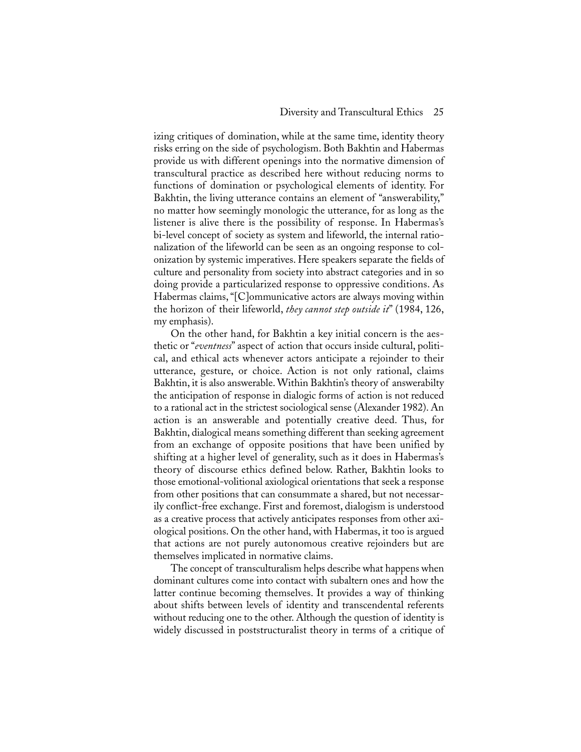izing critiques of domination, while at the same time, identity theory risks erring on the side of psychologism. Both Bakhtin and Habermas provide us with different openings into the normative dimension of transcultural practice as described here without reducing norms to functions of domination or psychological elements of identity. For Bakhtin, the living utterance contains an element of "answerability," no matter how seemingly monologic the utterance, for as long as the listener is alive there is the possibility of response. In Habermas's bi-level concept of society as system and lifeworld, the internal rationalization of the lifeworld can be seen as an ongoing response to colonization by systemic imperatives. Here speakers separate the fields of culture and personality from society into abstract categories and in so doing provide a particularized response to oppressive conditions. As Habermas claims, "[C]ommunicative actors are always moving within the horizon of their lifeworld, *they cannot step outside it*" (1984, 126, my emphasis).

On the other hand, for Bakhtin a key initial concern is the aesthetic or "*eventness*" aspect of action that occurs inside cultural, political, and ethical acts whenever actors anticipate a rejoinder to their utterance, gesture, or choice. Action is not only rational, claims Bakhtin, it is also answerable. Within Bakhtin's theory of answerabilty the anticipation of response in dialogic forms of action is not reduced to a rational act in the strictest sociological sense (Alexander 1982). An action is an answerable and potentially creative deed. Thus, for Bakhtin, dialogical means something different than seeking agreement from an exchange of opposite positions that have been unified by shifting at a higher level of generality, such as it does in Habermas's theory of discourse ethics defined below. Rather, Bakhtin looks to those emotional-volitional axiological orientations that seek a response from other positions that can consummate a shared, but not necessarily conflict-free exchange. First and foremost, dialogism is understood as a creative process that actively anticipates responses from other axiological positions. On the other hand, with Habermas, it too is argued that actions are not purely autonomous creative rejoinders but are themselves implicated in normative claims.

The concept of transculturalism helps describe what happens when dominant cultures come into contact with subaltern ones and how the latter continue becoming themselves. It provides a way of thinking about shifts between levels of identity and transcendental referents without reducing one to the other. Although the question of identity is widely discussed in poststructuralist theory in terms of a critique of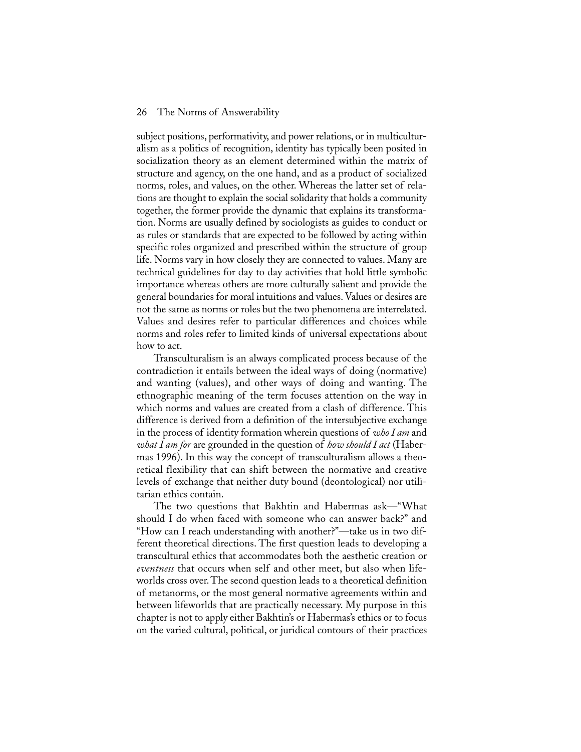subject positions, performativity, and power relations, or in multiculturalism as a politics of recognition, identity has typically been posited in socialization theory as an element determined within the matrix of structure and agency, on the one hand, and as a product of socialized norms, roles, and values, on the other. Whereas the latter set of relations are thought to explain the social solidarity that holds a community together, the former provide the dynamic that explains its transformation. Norms are usually defined by sociologists as guides to conduct or as rules or standards that are expected to be followed by acting within specific roles organized and prescribed within the structure of group life. Norms vary in how closely they are connected to values. Many are technical guidelines for day to day activities that hold little symbolic importance whereas others are more culturally salient and provide the general boundaries for moral intuitions and values. Values or desires are not the same as norms or roles but the two phenomena are interrelated. Values and desires refer to particular differences and choices while norms and roles refer to limited kinds of universal expectations about how to act.

Transculturalism is an always complicated process because of the contradiction it entails between the ideal ways of doing (normative) and wanting (values), and other ways of doing and wanting. The ethnographic meaning of the term focuses attention on the way in which norms and values are created from a clash of difference. This difference is derived from a definition of the intersubjective exchange in the process of identity formation wherein questions of *who I am* and *what I am for* are grounded in the question of *how should I act* (Habermas 1996). In this way the concept of transculturalism allows a theoretical flexibility that can shift between the normative and creative levels of exchange that neither duty bound (deontological) nor utilitarian ethics contain.

The two questions that Bakhtin and Habermas ask—"What should I do when faced with someone who can answer back?" and "How can I reach understanding with another?"—take us in two different theoretical directions. The first question leads to developing a transcultural ethics that accommodates both the aesthetic creation or *eventness* that occurs when self and other meet, but also when lifeworlds cross over. The second question leads to a theoretical definition of metanorms, or the most general normative agreements within and between lifeworlds that are practically necessary. My purpose in this chapter is not to apply either Bakhtin's or Habermas's ethics or to focus on the varied cultural, political, or juridical contours of their practices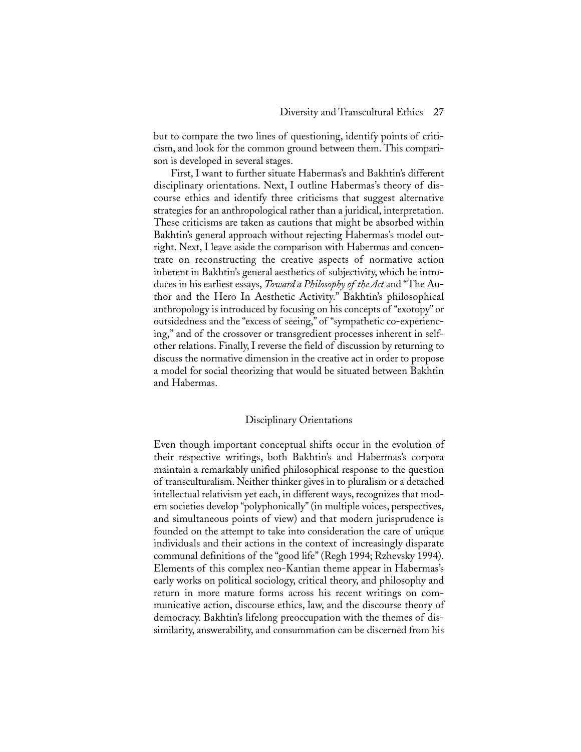but to compare the two lines of questioning, identify points of criticism, and look for the common ground between them. This comparison is developed in several stages.

First, I want to further situate Habermas's and Bakhtin's different disciplinary orientations. Next, I outline Habermas's theory of discourse ethics and identify three criticisms that suggest alternative strategies for an anthropological rather than a juridical, interpretation. These criticisms are taken as cautions that might be absorbed within Bakhtin's general approach without rejecting Habermas's model outright. Next, I leave aside the comparison with Habermas and concentrate on reconstructing the creative aspects of normative action inherent in Bakhtin's general aesthetics of subjectivity, which he introduces in his earliest essays, *Toward a Philosophy of the Act* and "The Author and the Hero In Aesthetic Activity." Bakhtin's philosophical anthropology is introduced by focusing on his concepts of "exotopy" or outsidedness and the "excess of seeing," of "sympathetic co-experiencing," and of the crossover or transgredient processes inherent in selfother relations. Finally, I reverse the field of discussion by returning to discuss the normative dimension in the creative act in order to propose a model for social theorizing that would be situated between Bakhtin and Habermas.

## Disciplinary Orientations

Even though important conceptual shifts occur in the evolution of their respective writings, both Bakhtin's and Habermas's corpora maintain a remarkably unified philosophical response to the question of transculturalism. Neither thinker gives in to pluralism or a detached intellectual relativism yet each, in different ways, recognizes that modern societies develop "polyphonically" (in multiple voices, perspectives, and simultaneous points of view) and that modern jurisprudence is founded on the attempt to take into consideration the care of unique individuals and their actions in the context of increasingly disparate communal definitions of the "good life" (Regh 1994; Rzhevsky 1994). Elements of this complex neo-Kantian theme appear in Habermas's early works on political sociology, critical theory, and philosophy and return in more mature forms across his recent writings on communicative action, discourse ethics, law, and the discourse theory of democracy. Bakhtin's lifelong preoccupation with the themes of dissimilarity, answerability, and consummation can be discerned from his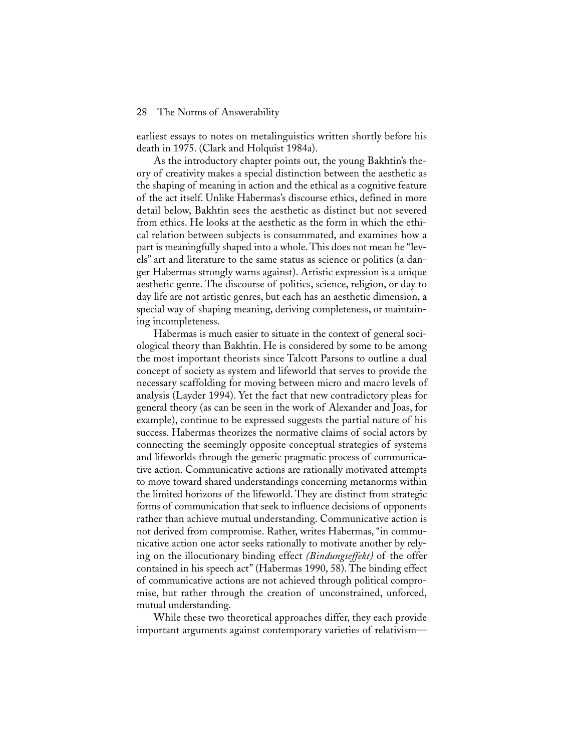earliest essays to notes on metalinguistics written shortly before his death in 1975. (Clark and Holquist 1984a).

As the introductory chapter points out, the young Bakhtin's theory of creativity makes a special distinction between the aesthetic as the shaping of meaning in action and the ethical as a cognitive feature of the act itself. Unlike Habermas's discourse ethics, defined in more detail below, Bakhtin sees the aesthetic as distinct but not severed from ethics. He looks at the aesthetic as the form in which the ethical relation between subjects is consummated, and examines how a part is meaningfully shaped into a whole. This does not mean he "levels" art and literature to the same status as science or politics (a danger Habermas strongly warns against). Artistic expression is a unique aesthetic genre. The discourse of politics, science, religion, or day to day life are not artistic genres, but each has an aesthetic dimension, a special way of shaping meaning, deriving completeness, or maintaining incompleteness.

Habermas is much easier to situate in the context of general sociological theory than Bakhtin. He is considered by some to be among the most important theorists since Talcott Parsons to outline a dual concept of society as system and lifeworld that serves to provide the necessary scaffolding for moving between micro and macro levels of analysis (Layder 1994). Yet the fact that new contradictory pleas for general theory (as can be seen in the work of Alexander and Joas, for example), continue to be expressed suggests the partial nature of his success. Habermas theorizes the normative claims of social actors by connecting the seemingly opposite conceptual strategies of systems and lifeworlds through the generic pragmatic process of communicative action. Communicative actions are rationally motivated attempts to move toward shared understandings concerning metanorms within the limited horizons of the lifeworld. They are distinct from strategic forms of communication that seek to influence decisions of opponents rather than achieve mutual understanding. Communicative action is not derived from compromise. Rather, writes Habermas, "in communicative action one actor seeks rationally to motivate another by relying on the illocutionary binding effect *(Bindungseffekt)* of the offer contained in his speech act" (Habermas 1990, 58). The binding effect of communicative actions are not achieved through political compromise, but rather through the creation of unconstrained, unforced, mutual understanding.

While these two theoretical approaches differ, they each provide important arguments against contemporary varieties of relativism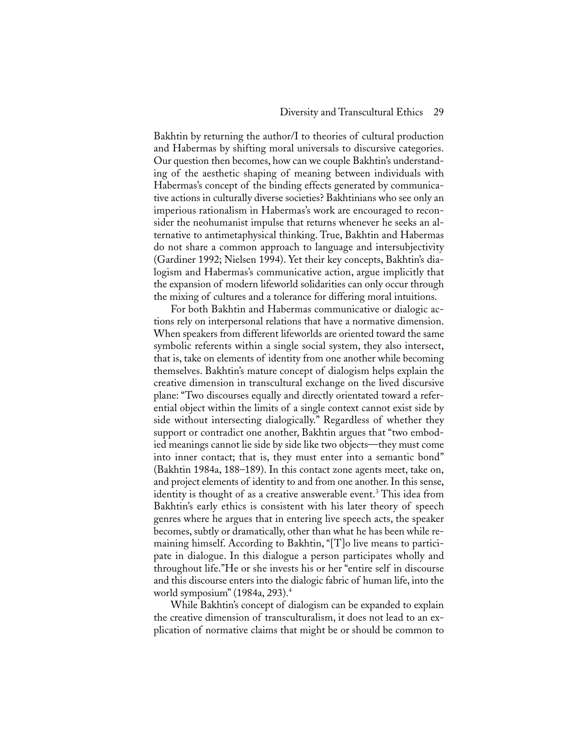Bakhtin by returning the author/I to theories of cultural production and Habermas by shifting moral universals to discursive categories. Our question then becomes, how can we couple Bakhtin's understanding of the aesthetic shaping of meaning between individuals with Habermas's concept of the binding effects generated by communicative actions in culturally diverse societies? Bakhtinians who see only an imperious rationalism in Habermas's work are encouraged to reconsider the neohumanist impulse that returns whenever he seeks an alternative to antimetaphysical thinking. True, Bakhtin and Habermas do not share a common approach to language and intersubjectivity (Gardiner 1992; Nielsen 1994). Yet their key concepts, Bakhtin's dialogism and Habermas's communicative action, argue implicitly that the expansion of modern lifeworld solidarities can only occur through the mixing of cultures and a tolerance for differing moral intuitions.

For both Bakhtin and Habermas communicative or dialogic actions rely on interpersonal relations that have a normative dimension. When speakers from different lifeworlds are oriented toward the same symbolic referents within a single social system, they also intersect, that is, take on elements of identity from one another while becoming themselves. Bakhtin's mature concept of dialogism helps explain the creative dimension in transcultural exchange on the lived discursive plane: "Two discourses equally and directly orientated toward a referential object within the limits of a single context cannot exist side by side without intersecting dialogically." Regardless of whether they support or contradict one another, Bakhtin argues that "two embodied meanings cannot lie side by side like two objects—they must come into inner contact; that is, they must enter into a semantic bond" (Bakhtin 1984a, 188–189). In this contact zone agents meet, take on, and project elements of identity to and from one another. In this sense, identity is thought of as a creative answerable event.<sup>3</sup> This idea from Bakhtin's early ethics is consistent with his later theory of speech genres where he argues that in entering live speech acts, the speaker becomes, subtly or dramatically, other than what he has been while remaining himself. According to Bakhtin, "[T]o live means to participate in dialogue. In this dialogue a person participates wholly and throughout life."He or she invests his or her "entire self in discourse and this discourse enters into the dialogic fabric of human life, into the world symposium" (1984a, 293).<sup>4</sup>

While Bakhtin's concept of dialogism can be expanded to explain the creative dimension of transculturalism, it does not lead to an explication of normative claims that might be or should be common to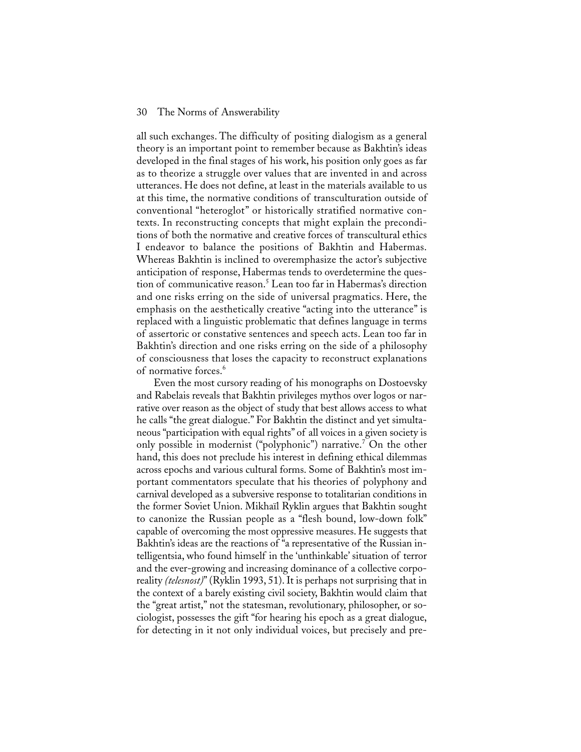all such exchanges. The difficulty of positing dialogism as a general theory is an important point to remember because as Bakhtin's ideas developed in the final stages of his work, his position only goes as far as to theorize a struggle over values that are invented in and across utterances. He does not define, at least in the materials available to us at this time, the normative conditions of transculturation outside of conventional "heteroglot" or historically stratified normative contexts. In reconstructing concepts that might explain the preconditions of both the normative and creative forces of transcultural ethics I endeavor to balance the positions of Bakhtin and Habermas. Whereas Bakhtin is inclined to overemphasize the actor's subjective anticipation of response, Habermas tends to overdetermine the question of communicative reason.<sup>5</sup> Lean too far in Habermas's direction and one risks erring on the side of universal pragmatics. Here, the emphasis on the aesthetically creative "acting into the utterance" is replaced with a linguistic problematic that defines language in terms of assertoric or constative sentences and speech acts. Lean too far in Bakhtin's direction and one risks erring on the side of a philosophy of consciousness that loses the capacity to reconstruct explanations of normative forces.<sup>6</sup>

Even the most cursory reading of his monographs on Dostoevsky and Rabelais reveals that Bakhtin privileges mythos over logos or narrative over reason as the object of study that best allows access to what he calls "the great dialogue." For Bakhtin the distinct and yet simultaneous "participation with equal rights" of all voices in a given society is only possible in modernist ("polyphonic") narrative.<sup>7</sup> On the other hand, this does not preclude his interest in defining ethical dilemmas across epochs and various cultural forms. Some of Bakhtin's most important commentators speculate that his theories of polyphony and carnival developed as a subversive response to totalitarian conditions in the former Soviet Union. Mikhaïl Ryklin argues that Bakhtin sought to canonize the Russian people as a "flesh bound, low-down folk" capable of overcoming the most oppressive measures. He suggests that Bakhtin's ideas are the reactions of "a representative of the Russian intelligentsia, who found himself in the 'unthinkable' situation of terror and the ever-growing and increasing dominance of a collective corporeality *(telesnost)*" (Ryklin 1993, 51). It is perhaps not surprising that in the context of a barely existing civil society, Bakhtin would claim that the "great artist," not the statesman, revolutionary, philosopher, or sociologist, possesses the gift "for hearing his epoch as a great dialogue, for detecting in it not only individual voices, but precisely and pre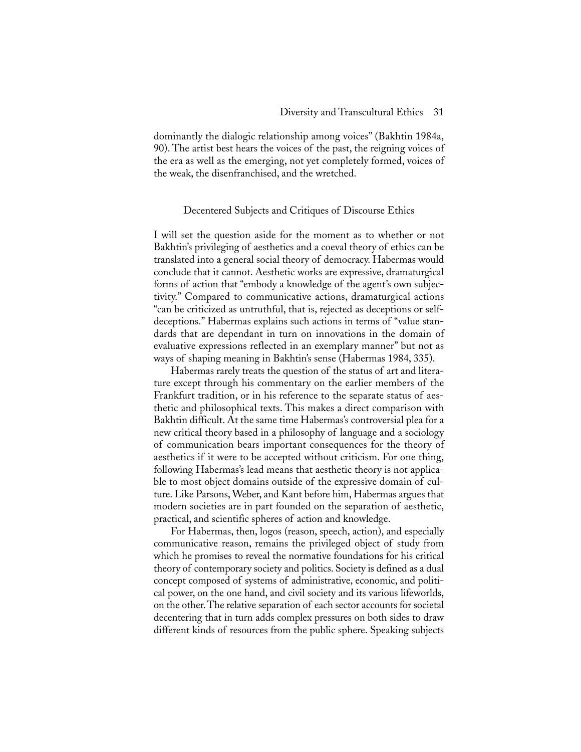dominantly the dialogic relationship among voices" (Bakhtin 1984a, 90). The artist best hears the voices of the past, the reigning voices of the era as well as the emerging, not yet completely formed, voices of the weak, the disenfranchised, and the wretched.

## Decentered Subjects and Critiques of Discourse Ethics

I will set the question aside for the moment as to whether or not Bakhtin's privileging of aesthetics and a coeval theory of ethics can be translated into a general social theory of democracy. Habermas would conclude that it cannot. Aesthetic works are expressive, dramaturgical forms of action that "embody a knowledge of the agent's own subjectivity." Compared to communicative actions, dramaturgical actions "can be criticized as untruthful, that is, rejected as deceptions or selfdeceptions." Habermas explains such actions in terms of "value standards that are dependant in turn on innovations in the domain of evaluative expressions reflected in an exemplary manner" but not as ways of shaping meaning in Bakhtin's sense (Habermas 1984, 335).

Habermas rarely treats the question of the status of art and literature except through his commentary on the earlier members of the Frankfurt tradition, or in his reference to the separate status of aesthetic and philosophical texts. This makes a direct comparison with Bakhtin difficult. At the same time Habermas's controversial plea for a new critical theory based in a philosophy of language and a sociology of communication bears important consequences for the theory of aesthetics if it were to be accepted without criticism. For one thing, following Habermas's lead means that aesthetic theory is not applicable to most object domains outside of the expressive domain of culture. Like Parsons, Weber, and Kant before him, Habermas argues that modern societies are in part founded on the separation of aesthetic, practical, and scientific spheres of action and knowledge.

For Habermas, then, logos (reason, speech, action), and especially communicative reason, remains the privileged object of study from which he promises to reveal the normative foundations for his critical theory of contemporary society and politics. Society is defined as a dual concept composed of systems of administrative, economic, and political power, on the one hand, and civil society and its various lifeworlds, on the other.The relative separation of each sector accounts for societal decentering that in turn adds complex pressures on both sides to draw different kinds of resources from the public sphere. Speaking subjects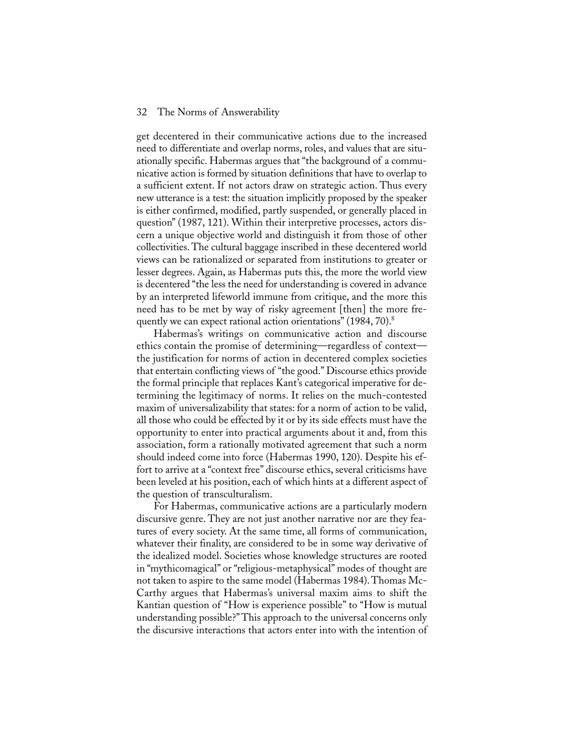get decentered in their communicative actions due to the increased need to differentiate and overlap norms, roles, and values that are situationally specific. Habermas argues that "the background of a communicative action is formed by situation definitions that have to overlap to a sufficient extent. If not actors draw on strategic action. Thus every new utterance is a test: the situation implicitly proposed by the speaker is either confirmed, modified, partly suspended, or generally placed in question" (1987, 121). Within their interpretive processes, actors discern a unique objective world and distinguish it from those of other collectivities. The cultural baggage inscribed in these decentered world views can be rationalized or separated from institutions to greater or lesser degrees. Again, as Habermas puts this, the more the world view is decentered "the less the need for understanding is covered in advance by an interpreted lifeworld immune from critique, and the more this need has to be met by way of risky agreement [then] the more frequently we can expect rational action orientations" (1984, 70).<sup>8</sup>

Habermas's writings on communicative action and discourse ethics contain the promise of determining—regardless of context the justification for norms of action in decentered complex societies that entertain conflicting views of "the good." Discourse ethics provide the formal principle that replaces Kant's categorical imperative for determining the legitimacy of norms. It relies on the much-contested maxim of universalizability that states: for a norm of action to be valid, all those who could be effected by it or by its side effects must have the opportunity to enter into practical arguments about it and, from this association, form a rationally motivated agreement that such a norm should indeed come into force (Habermas 1990, 120). Despite his effort to arrive at a "context free" discourse ethics, several criticisms have been leveled at his position, each of which hints at a different aspect of the question of transculturalism.

For Habermas, communicative actions are a particularly modern discursive genre. They are not just another narrative nor are they features of every society. At the same time, all forms of communication, whatever their finality, are considered to be in some way derivative of the idealized model. Societies whose knowledge structures are rooted in "mythicomagical" or "religious-metaphysical" modes of thought are not taken to aspire to the same model (Habermas 1984). Thomas Mc-Carthy argues that Habermas's universal maxim aims to shift the Kantian question of "How is experience possible" to "How is mutual understanding possible?" This approach to the universal concerns only the discursive interactions that actors enter into with the intention of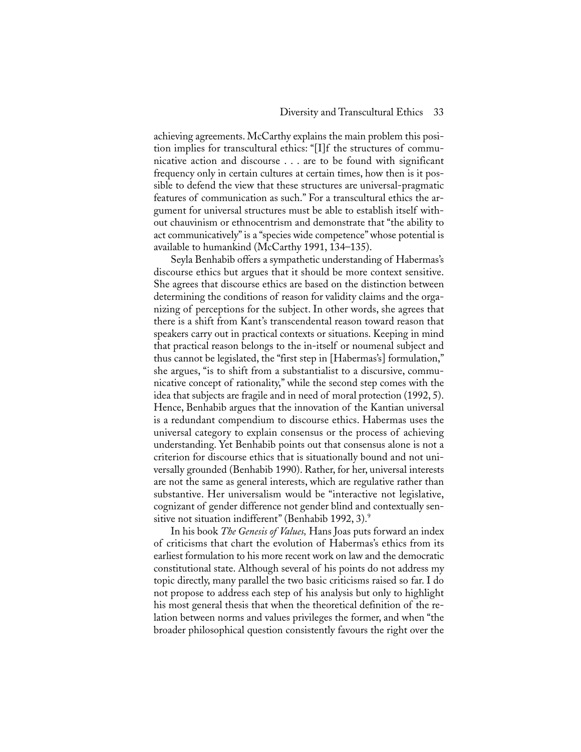achieving agreements. McCarthy explains the main problem this position implies for transcultural ethics: "[I]f the structures of communicative action and discourse . . . are to be found with significant frequency only in certain cultures at certain times, how then is it possible to defend the view that these structures are universal-pragmatic features of communication as such." For a transcultural ethics the argument for universal structures must be able to establish itself without chauvinism or ethnocentrism and demonstrate that "the ability to act communicatively" is a "species wide competence" whose potential is available to humankind (McCarthy 1991, 134–135).

Seyla Benhabib offers a sympathetic understanding of Habermas's discourse ethics but argues that it should be more context sensitive. She agrees that discourse ethics are based on the distinction between determining the conditions of reason for validity claims and the organizing of perceptions for the subject. In other words, she agrees that there is a shift from Kant's transcendental reason toward reason that speakers carry out in practical contexts or situations. Keeping in mind that practical reason belongs to the in-itself or noumenal subject and thus cannot be legislated, the "first step in [Habermas's] formulation," she argues, "is to shift from a substantialist to a discursive, communicative concept of rationality," while the second step comes with the idea that subjects are fragile and in need of moral protection (1992, 5). Hence, Benhabib argues that the innovation of the Kantian universal is a redundant compendium to discourse ethics. Habermas uses the universal category to explain consensus or the process of achieving understanding. Yet Benhabib points out that consensus alone is not a criterion for discourse ethics that is situationally bound and not universally grounded (Benhabib 1990). Rather, for her, universal interests are not the same as general interests, which are regulative rather than substantive. Her universalism would be "interactive not legislative, cognizant of gender difference not gender blind and contextually sensitive not situation indifferent" (Benhabib 1992, 3).<sup>9</sup>

In his book *The Genesis of Values,* Hans Joas puts forward an index of criticisms that chart the evolution of Habermas's ethics from its earliest formulation to his more recent work on law and the democratic constitutional state. Although several of his points do not address my topic directly, many parallel the two basic criticisms raised so far. I do not propose to address each step of his analysis but only to highlight his most general thesis that when the theoretical definition of the relation between norms and values privileges the former, and when "the broader philosophical question consistently favours the right over the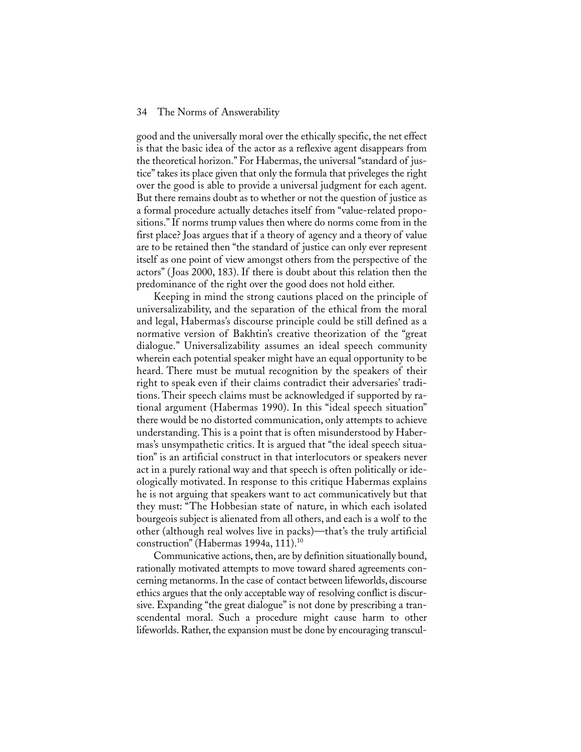good and the universally moral over the ethically specific, the net effect is that the basic idea of the actor as a reflexive agent disappears from the theoretical horizon." For Habermas, the universal "standard of justice" takes its place given that only the formula that priveleges the right over the good is able to provide a universal judgment for each agent. But there remains doubt as to whether or not the question of justice as a formal procedure actually detaches itself from "value-related propositions." If norms trump values then where do norms come from in the first place? Joas argues that if a theory of agency and a theory of value are to be retained then "the standard of justice can only ever represent itself as one point of view amongst others from the perspective of the actors" ( Joas 2000, 183). If there is doubt about this relation then the predominance of the right over the good does not hold either.

Keeping in mind the strong cautions placed on the principle of universalizability, and the separation of the ethical from the moral and legal, Habermas's discourse principle could be still defined as a normative version of Bakhtin's creative theorization of the "great dialogue." Universalizability assumes an ideal speech community wherein each potential speaker might have an equal opportunity to be heard. There must be mutual recognition by the speakers of their right to speak even if their claims contradict their adversaries' traditions. Their speech claims must be acknowledged if supported by rational argument (Habermas 1990). In this "ideal speech situation" there would be no distorted communication, only attempts to achieve understanding. This is a point that is often misunderstood by Habermas's unsympathetic critics. It is argued that "the ideal speech situation" is an artificial construct in that interlocutors or speakers never act in a purely rational way and that speech is often politically or ideologically motivated. In response to this critique Habermas explains he is not arguing that speakers want to act communicatively but that they must: "The Hobbesian state of nature, in which each isolated bourgeois subject is alienated from all others, and each is a wolf to the other (although real wolves live in packs)—that's the truly artificial construction" (Habermas 1994a, 111).<sup>10</sup>

Communicative actions, then, are by definition situationally bound, rationally motivated attempts to move toward shared agreements concerning metanorms. In the case of contact between lifeworlds, discourse ethics argues that the only acceptable way of resolving conflict is discursive. Expanding "the great dialogue" is not done by prescribing a transcendental moral. Such a procedure might cause harm to other lifeworlds. Rather, the expansion must be done by encouraging transcul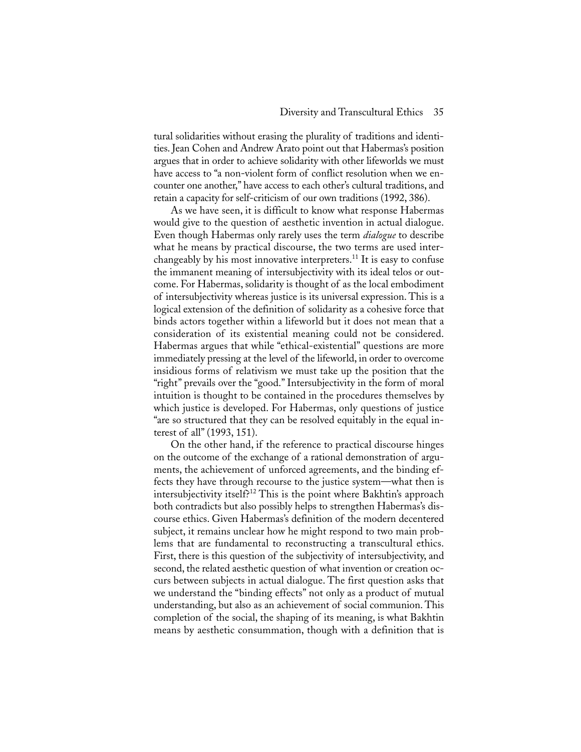tural solidarities without erasing the plurality of traditions and identities. Jean Cohen and Andrew Arato point out that Habermas's position argues that in order to achieve solidarity with other lifeworlds we must have access to "a non-violent form of conflict resolution when we encounter one another," have access to each other's cultural traditions, and retain a capacity for self-criticism of our own traditions (1992, 386).

As we have seen, it is difficult to know what response Habermas would give to the question of aesthetic invention in actual dialogue. Even though Habermas only rarely uses the term *dialogue* to describe what he means by practical discourse, the two terms are used interchangeably by his most innovative interpreters.<sup>11</sup> It is easy to confuse the immanent meaning of intersubjectivity with its ideal telos or outcome. For Habermas, solidarity is thought of as the local embodiment of intersubjectivity whereas justice is its universal expression. This is a logical extension of the definition of solidarity as a cohesive force that binds actors together within a lifeworld but it does not mean that a consideration of its existential meaning could not be considered. Habermas argues that while "ethical-existential" questions are more immediately pressing at the level of the lifeworld, in order to overcome insidious forms of relativism we must take up the position that the "right" prevails over the "good." Intersubjectivity in the form of moral intuition is thought to be contained in the procedures themselves by which justice is developed. For Habermas, only questions of justice "are so structured that they can be resolved equitably in the equal interest of all" (1993, 151).

On the other hand, if the reference to practical discourse hinges on the outcome of the exchange of a rational demonstration of arguments, the achievement of unforced agreements, and the binding effects they have through recourse to the justice system—what then is intersubjectivity itself?<sup>12</sup> This is the point where Bakhtin's approach both contradicts but also possibly helps to strengthen Habermas's discourse ethics. Given Habermas's definition of the modern decentered subject, it remains unclear how he might respond to two main problems that are fundamental to reconstructing a transcultural ethics. First, there is this question of the subjectivity of intersubjectivity, and second, the related aesthetic question of what invention or creation occurs between subjects in actual dialogue. The first question asks that we understand the "binding effects" not only as a product of mutual understanding, but also as an achievement of social communion. This completion of the social, the shaping of its meaning, is what Bakhtin means by aesthetic consummation, though with a definition that is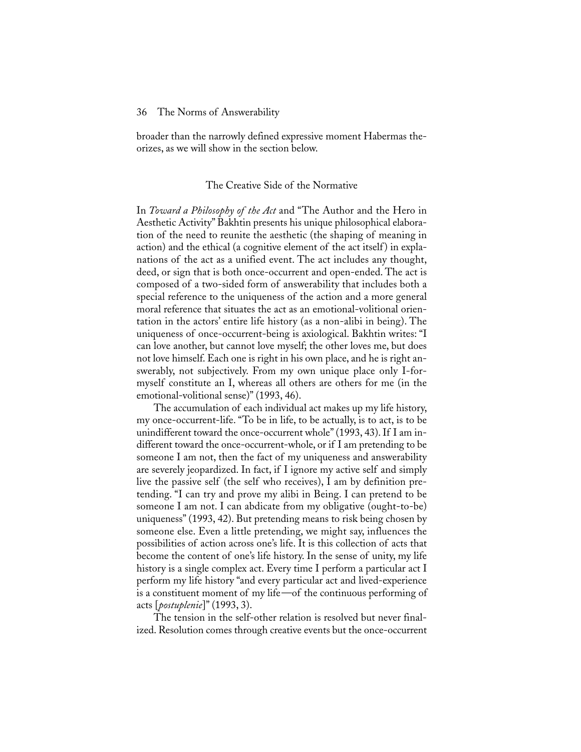broader than the narrowly defined expressive moment Habermas theorizes, as we will show in the section below.

# The Creative Side of the Normative

In *Toward a Philosophy of the Act* and "The Author and the Hero in Aesthetic Activity" Bakhtin presents his unique philosophical elaboration of the need to reunite the aesthetic (the shaping of meaning in action) and the ethical (a cognitive element of the act itself ) in explanations of the act as a unified event. The act includes any thought, deed, or sign that is both once-occurrent and open-ended. The act is composed of a two-sided form of answerability that includes both a special reference to the uniqueness of the action and a more general moral reference that situates the act as an emotional-volitional orientation in the actors' entire life history (as a non-alibi in being). The uniqueness of once-occurrent-being is axiological. Bakhtin writes: "I can love another, but cannot love myself; the other loves me, but does not love himself. Each one is right in his own place, and he is right answerably, not subjectively. From my own unique place only I-formyself constitute an I, whereas all others are others for me (in the emotional-volitional sense)" (1993, 46).

The accumulation of each individual act makes up my life history, my once-occurrent-life. "To be in life, to be actually, is to act, is to be unindifferent toward the once-occurrent whole" (1993, 43). If I am indifferent toward the once-occurrent-whole, or if I am pretending to be someone I am not, then the fact of my uniqueness and answerability are severely jeopardized. In fact, if I ignore my active self and simply live the passive self (the self who receives), I am by definition pretending. "I can try and prove my alibi in Being. I can pretend to be someone I am not. I can abdicate from my obligative (ought-to-be) uniqueness" (1993, 42). But pretending means to risk being chosen by someone else. Even a little pretending, we might say, influences the possibilities of action across one's life. It is this collection of acts that become the content of one's life history. In the sense of unity, my life history is a single complex act. Every time I perform a particular act I perform my life history "and every particular act and lived-experience is a constituent moment of my life—of the continuous performing of acts [*postuplenie*]" (1993, 3).

The tension in the self-other relation is resolved but never finalized. Resolution comes through creative events but the once-occurrent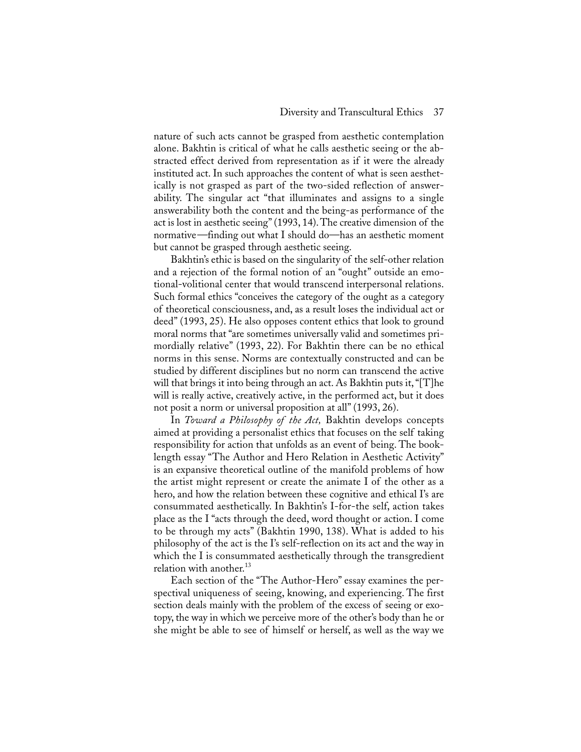nature of such acts cannot be grasped from aesthetic contemplation alone. Bakhtin is critical of what he calls aesthetic seeing or the abstracted effect derived from representation as if it were the already instituted act. In such approaches the content of what is seen aesthetically is not grasped as part of the two-sided reflection of answerability. The singular act "that illuminates and assigns to a single answerability both the content and the being-as performance of the act is lost in aesthetic seeing" (1993, 14). The creative dimension of the normative—finding out what I should do—has an aesthetic moment but cannot be grasped through aesthetic seeing.

Bakhtin's ethic is based on the singularity of the self-other relation and a rejection of the formal notion of an "ought" outside an emotional-volitional center that would transcend interpersonal relations. Such formal ethics "conceives the category of the ought as a category of theoretical consciousness, and, as a result loses the individual act or deed" (1993, 25). He also opposes content ethics that look to ground moral norms that "are sometimes universally valid and sometimes primordially relative" (1993, 22). For Bakhtin there can be no ethical norms in this sense. Norms are contextually constructed and can be studied by different disciplines but no norm can transcend the active will that brings it into being through an act. As Bakhtin puts it, "[T]he will is really active, creatively active, in the performed act, but it does not posit a norm or universal proposition at all" (1993, 26).

In *Toward a Philosophy of the Act,* Bakhtin develops concepts aimed at providing a personalist ethics that focuses on the self taking responsibility for action that unfolds as an event of being. The booklength essay "The Author and Hero Relation in Aesthetic Activity" is an expansive theoretical outline of the manifold problems of how the artist might represent or create the animate I of the other as a hero, and how the relation between these cognitive and ethical I's are consummated aesthetically. In Bakhtin's I-for-the self, action takes place as the I "acts through the deed, word thought or action. I come to be through my acts" (Bakhtin 1990, 138). What is added to his philosophy of the act is the I's self-reflection on its act and the way in which the I is consummated aesthetically through the transgredient relation with another.<sup>13</sup>

Each section of the "The Author-Hero" essay examines the perspectival uniqueness of seeing, knowing, and experiencing. The first section deals mainly with the problem of the excess of seeing or exotopy, the way in which we perceive more of the other's body than he or she might be able to see of himself or herself, as well as the way we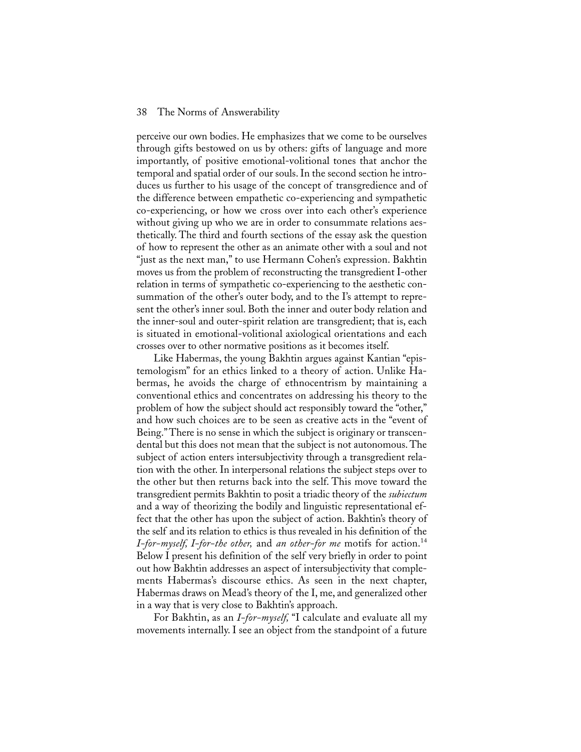perceive our own bodies. He emphasizes that we come to be ourselves through gifts bestowed on us by others: gifts of language and more importantly, of positive emotional-volitional tones that anchor the temporal and spatial order of our souls. In the second section he introduces us further to his usage of the concept of transgredience and of the difference between empathetic co-experiencing and sympathetic co-experiencing, or how we cross over into each other's experience without giving up who we are in order to consummate relations aesthetically. The third and fourth sections of the essay ask the question of how to represent the other as an animate other with a soul and not "just as the next man," to use Hermann Cohen's expression. Bakhtin moves us from the problem of reconstructing the transgredient I-other relation in terms of sympathetic co-experiencing to the aesthetic consummation of the other's outer body, and to the I's attempt to represent the other's inner soul. Both the inner and outer body relation and the inner-soul and outer-spirit relation are transgredient; that is, each is situated in emotional-volitional axiological orientations and each crosses over to other normative positions as it becomes itself.

Like Habermas, the young Bakhtin argues against Kantian "epistemologism" for an ethics linked to a theory of action. Unlike Habermas, he avoids the charge of ethnocentrism by maintaining a conventional ethics and concentrates on addressing his theory to the problem of how the subject should act responsibly toward the "other," and how such choices are to be seen as creative acts in the "event of Being." There is no sense in which the subject is originary or transcendental but this does not mean that the subject is not autonomous. The subject of action enters intersubjectivity through a transgredient relation with the other. In interpersonal relations the subject steps over to the other but then returns back into the self. This move toward the transgredient permits Bakhtin to posit a triadic theory of the *subiectum* and a way of theorizing the bodily and linguistic representational effect that the other has upon the subject of action. Bakhtin's theory of the self and its relation to ethics is thus revealed in his definition of the *I-for-myself, I-for-the other, and an other-for me motifs for action.*<sup>14</sup> Below I present his definition of the self very briefly in order to point out how Bakhtin addresses an aspect of intersubjectivity that complements Habermas's discourse ethics. As seen in the next chapter, Habermas draws on Mead's theory of the I, me, and generalized other in a way that is very close to Bakhtin's approach.

For Bakhtin, as an *I-for-myself,* "I calculate and evaluate all my movements internally. I see an object from the standpoint of a future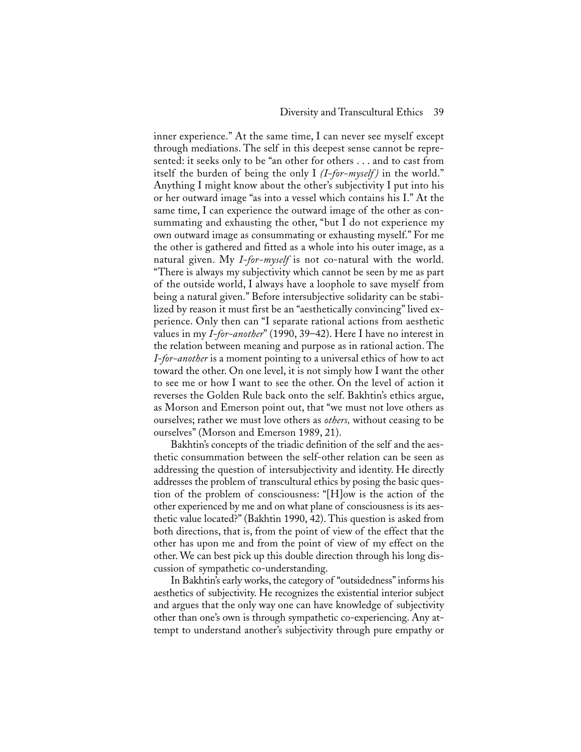inner experience." At the same time, I can never see myself except through mediations. The self in this deepest sense cannot be represented: it seeks only to be "an other for others . . . and to cast from itself the burden of being the only I *(I-for-myself)* in the world." Anything I might know about the other's subjectivity I put into his or her outward image "as into a vessel which contains his I." At the same time, I can experience the outward image of the other as consummating and exhausting the other, "but I do not experience my own outward image as consummating or exhausting myself." For me the other is gathered and fitted as a whole into his outer image, as a natural given. My *I-for-myself* is not co-natural with the world. "There is always my subjectivity which cannot be seen by me as part of the outside world, I always have a loophole to save myself from being a natural given." Before intersubjective solidarity can be stabilized by reason it must first be an "aesthetically convincing" lived experience. Only then can "I separate rational actions from aesthetic values in my *I-for-another*" (1990, 39–42). Here I have no interest in the relation between meaning and purpose as in rational action. The *I-for-another* is a moment pointing to a universal ethics of how to act toward the other. On one level, it is not simply how I want the other to see me or how I want to see the other. On the level of action it reverses the Golden Rule back onto the self. Bakhtin's ethics argue, as Morson and Emerson point out, that "we must not love others as ourselves; rather we must love others as *others,* without ceasing to be ourselves" (Morson and Emerson 1989, 21).

Bakhtin's concepts of the triadic definition of the self and the aesthetic consummation between the self-other relation can be seen as addressing the question of intersubjectivity and identity. He directly addresses the problem of transcultural ethics by posing the basic question of the problem of consciousness: "[H]ow is the action of the other experienced by me and on what plane of consciousness is its aesthetic value located?" (Bakhtin 1990, 42). This question is asked from both directions, that is, from the point of view of the effect that the other has upon me and from the point of view of my effect on the other. We can best pick up this double direction through his long discussion of sympathetic co-understanding.

In Bakhtin's early works, the category of "outsidedness" informs his aesthetics of subjectivity. He recognizes the existential interior subject and argues that the only way one can have knowledge of subjectivity other than one's own is through sympathetic co-experiencing. Any attempt to understand another's subjectivity through pure empathy or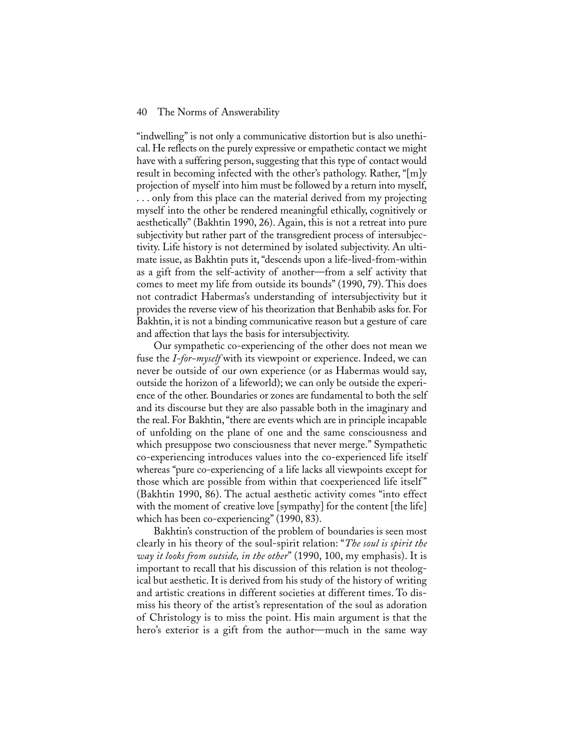"indwelling" is not only a communicative distortion but is also unethical. He reflects on the purely expressive or empathetic contact we might have with a suffering person, suggesting that this type of contact would result in becoming infected with the other's pathology. Rather, "[m]y projection of myself into him must be followed by a return into myself, . . . only from this place can the material derived from my projecting myself into the other be rendered meaningful ethically, cognitively or aesthetically" (Bakhtin 1990, 26). Again, this is not a retreat into pure subjectivity but rather part of the transgredient process of intersubjectivity. Life history is not determined by isolated subjectivity. An ultimate issue, as Bakhtin puts it, "descends upon a life-lived-from-within as a gift from the self-activity of another—from a self activity that comes to meet my life from outside its bounds" (1990, 79). This does not contradict Habermas's understanding of intersubjectivity but it provides the reverse view of his theorization that Benhabib asks for. For Bakhtin, it is not a binding communicative reason but a gesture of care and affection that lays the basis for intersubjectivity.

Our sympathetic co-experiencing of the other does not mean we fuse the *I-for-myself* with its viewpoint or experience. Indeed, we can never be outside of our own experience (or as Habermas would say, outside the horizon of a lifeworld); we can only be outside the experience of the other. Boundaries or zones are fundamental to both the self and its discourse but they are also passable both in the imaginary and the real. For Bakhtin, "there are events which are in principle incapable of unfolding on the plane of one and the same consciousness and which presuppose two consciousness that never merge." Sympathetic co-experiencing introduces values into the co-experienced life itself whereas "pure co-experiencing of a life lacks all viewpoints except for those which are possible from within that coexperienced life itself" (Bakhtin 1990, 86). The actual aesthetic activity comes "into effect with the moment of creative love [sympathy] for the content [the life] which has been co-experiencing" (1990, 83).

Bakhtin's construction of the problem of boundaries is seen most clearly in his theory of the soul-spirit relation: "*The soul is spirit the way it looks from outside, in the other*" (1990, 100, my emphasis). It is important to recall that his discussion of this relation is not theological but aesthetic. It is derived from his study of the history of writing and artistic creations in different societies at different times. To dismiss his theory of the artist's representation of the soul as adoration of Christology is to miss the point. His main argument is that the hero's exterior is a gift from the author—much in the same way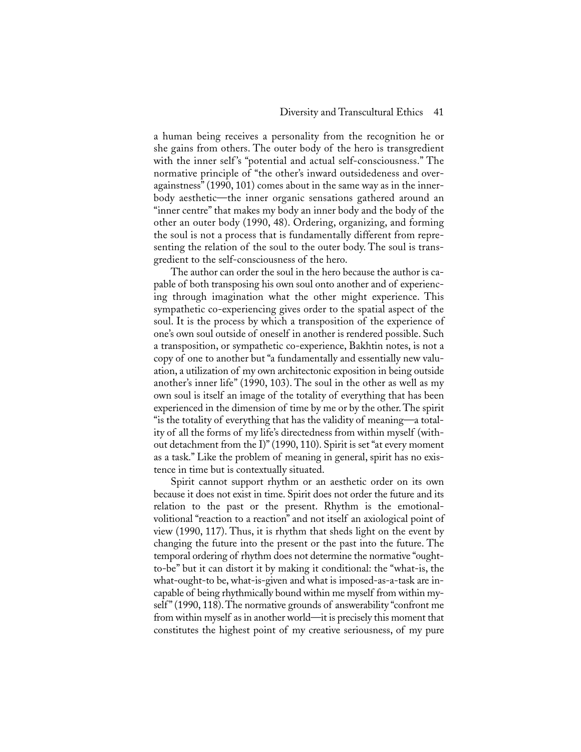a human being receives a personality from the recognition he or she gains from others. The outer body of the hero is transgredient with the inner self's "potential and actual self-consciousness." The normative principle of "the other's inward outsidedeness and overagainstness" (1990, 101) comes about in the same way as in the innerbody aesthetic—the inner organic sensations gathered around an "inner centre" that makes my body an inner body and the body of the other an outer body (1990, 48). Ordering, organizing, and forming the soul is not a process that is fundamentally different from representing the relation of the soul to the outer body. The soul is transgredient to the self-consciousness of the hero.

The author can order the soul in the hero because the author is capable of both transposing his own soul onto another and of experiencing through imagination what the other might experience. This sympathetic co-experiencing gives order to the spatial aspect of the soul. It is the process by which a transposition of the experience of one's own soul outside of oneself in another is rendered possible. Such a transposition, or sympathetic co-experience, Bakhtin notes, is not a copy of one to another but "a fundamentally and essentially new valuation, a utilization of my own architectonic exposition in being outside another's inner life" (1990, 103). The soul in the other as well as my own soul is itself an image of the totality of everything that has been experienced in the dimension of time by me or by the other. The spirit "is the totality of everything that has the validity of meaning—a totality of all the forms of my life's directedness from within myself (without detachment from the I)" (1990, 110). Spirit is set "at every moment as a task." Like the problem of meaning in general, spirit has no existence in time but is contextually situated.

Spirit cannot support rhythm or an aesthetic order on its own because it does not exist in time. Spirit does not order the future and its relation to the past or the present. Rhythm is the emotionalvolitional "reaction to a reaction" and not itself an axiological point of view (1990, 117). Thus, it is rhythm that sheds light on the event by changing the future into the present or the past into the future. The temporal ordering of rhythm does not determine the normative "oughtto-be" but it can distort it by making it conditional: the "what-is, the what-ought-to be, what-is-given and what is imposed-as-a-task are incapable of being rhythmically bound within me myself from within myself" (1990, 118). The normative grounds of answerability "confront me from within myself as in another world—it is precisely this moment that constitutes the highest point of my creative seriousness, of my pure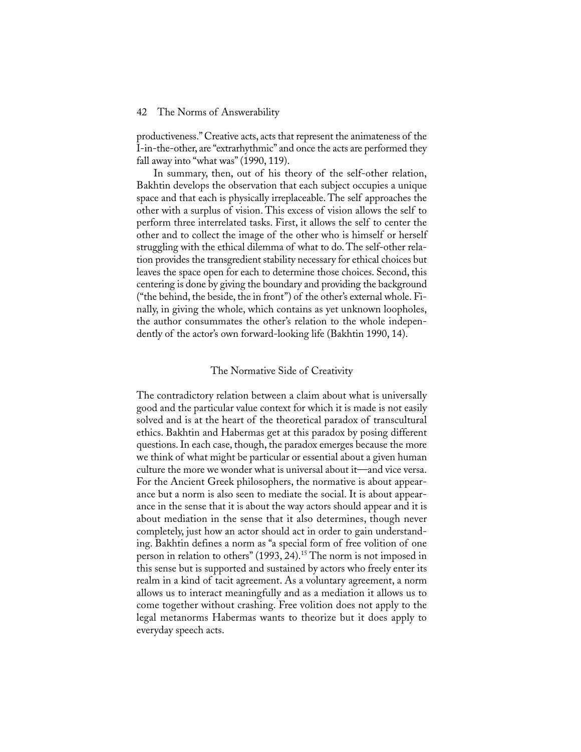productiveness." Creative acts, acts that represent the animateness of the I-in-the-other, are "extrarhythmic" and once the acts are performed they fall away into "what was" (1990, 119).

In summary, then, out of his theory of the self-other relation, Bakhtin develops the observation that each subject occupies a unique space and that each is physically irreplaceable. The self approaches the other with a surplus of vision. This excess of vision allows the self to perform three interrelated tasks. First, it allows the self to center the other and to collect the image of the other who is himself or herself struggling with the ethical dilemma of what to do. The self-other relation provides the transgredient stability necessary for ethical choices but leaves the space open for each to determine those choices. Second, this centering is done by giving the boundary and providing the background ("the behind, the beside, the in front") of the other's external whole. Finally, in giving the whole, which contains as yet unknown loopholes, the author consummates the other's relation to the whole independently of the actor's own forward-looking life (Bakhtin 1990, 14).

# The Normative Side of Creativity

The contradictory relation between a claim about what is universally good and the particular value context for which it is made is not easily solved and is at the heart of the theoretical paradox of transcultural ethics. Bakhtin and Habermas get at this paradox by posing different questions. In each case, though, the paradox emerges because the more we think of what might be particular or essential about a given human culture the more we wonder what is universal about it—and vice versa. For the Ancient Greek philosophers, the normative is about appearance but a norm is also seen to mediate the social. It is about appearance in the sense that it is about the way actors should appear and it is about mediation in the sense that it also determines, though never completely, just how an actor should act in order to gain understanding. Bakhtin defines a norm as "a special form of free volition of one person in relation to others"  $(1993, 24)$ .<sup>15</sup> The norm is not imposed in this sense but is supported and sustained by actors who freely enter its realm in a kind of tacit agreement. As a voluntary agreement, a norm allows us to interact meaningfully and as a mediation it allows us to come together without crashing. Free volition does not apply to the legal metanorms Habermas wants to theorize but it does apply to everyday speech acts.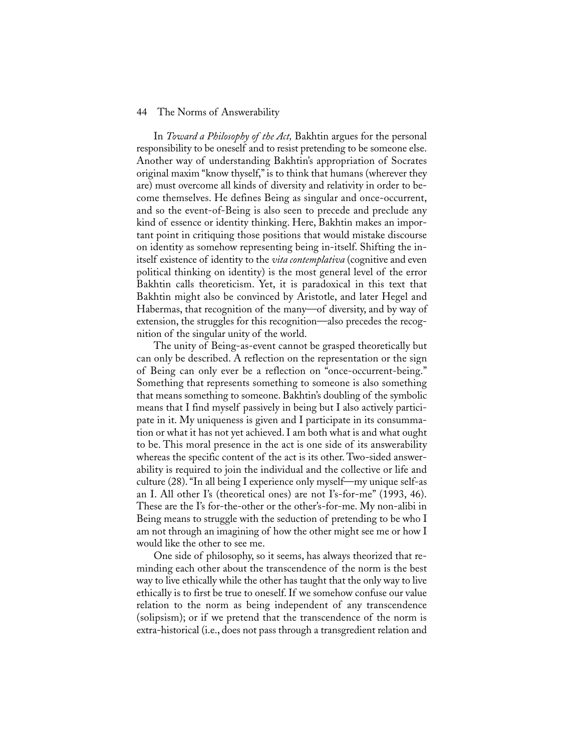In *Toward a Philosophy of the Act,* Bakhtin argues for the personal responsibility to be oneself and to resist pretending to be someone else. Another way of understanding Bakhtin's appropriation of Socrates original maxim "know thyself," is to think that humans (wherever they are) must overcome all kinds of diversity and relativity in order to become themselves. He defines Being as singular and once-occurrent, and so the event-of-Being is also seen to precede and preclude any kind of essence or identity thinking. Here, Bakhtin makes an important point in critiquing those positions that would mistake discourse on identity as somehow representing being in-itself. Shifting the initself existence of identity to the *vita contemplativa* (cognitive and even political thinking on identity) is the most general level of the error Bakhtin calls theoreticism. Yet, it is paradoxical in this text that Bakhtin might also be convinced by Aristotle, and later Hegel and Habermas, that recognition of the many—of diversity, and by way of extension, the struggles for this recognition—also precedes the recognition of the singular unity of the world.

The unity of Being-as-event cannot be grasped theoretically but can only be described. A reflection on the representation or the sign of Being can only ever be a reflection on "once-occurrent-being." Something that represents something to someone is also something that means something to someone. Bakhtin's doubling of the symbolic means that I find myself passively in being but I also actively participate in it. My uniqueness is given and I participate in its consummation or what it has not yet achieved. I am both what is and what ought to be. This moral presence in the act is one side of its answerability whereas the specific content of the act is its other. Two-sided answerability is required to join the individual and the collective or life and culture (28). "In all being I experience only myself—my unique self-as an I. All other I's (theoretical ones) are not I's-for-me" (1993, 46). These are the I's for-the-other or the other's-for-me. My non-alibi in Being means to struggle with the seduction of pretending to be who I am not through an imagining of how the other might see me or how I would like the other to see me.

One side of philosophy, so it seems, has always theorized that reminding each other about the transcendence of the norm is the best way to live ethically while the other has taught that the only way to live ethically is to first be true to oneself. If we somehow confuse our value relation to the norm as being independent of any transcendence (solipsism); or if we pretend that the transcendence of the norm is extra-historical (i.e., does not pass through a transgredient relation and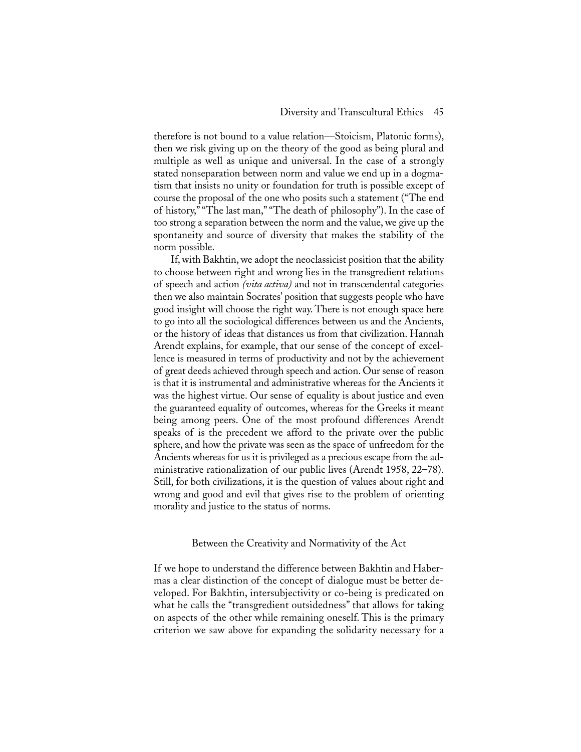therefore is not bound to a value relation—Stoicism, Platonic forms), then we risk giving up on the theory of the good as being plural and multiple as well as unique and universal. In the case of a strongly stated nonseparation between norm and value we end up in a dogmatism that insists no unity or foundation for truth is possible except of course the proposal of the one who posits such a statement ("The end of history," "The last man," "The death of philosophy"). In the case of too strong a separation between the norm and the value, we give up the spontaneity and source of diversity that makes the stability of the norm possible.

If, with Bakhtin, we adopt the neoclassicist position that the ability to choose between right and wrong lies in the transgredient relations of speech and action *(vita activa)* and not in transcendental categories then we also maintain Socrates' position that suggests people who have good insight will choose the right way. There is not enough space here to go into all the sociological differences between us and the Ancients, or the history of ideas that distances us from that civilization. Hannah Arendt explains, for example, that our sense of the concept of excellence is measured in terms of productivity and not by the achievement of great deeds achieved through speech and action. Our sense of reason is that it is instrumental and administrative whereas for the Ancients it was the highest virtue. Our sense of equality is about justice and even the guaranteed equality of outcomes, whereas for the Greeks it meant being among peers. One of the most profound differences Arendt speaks of is the precedent we afford to the private over the public sphere, and how the private was seen as the space of unfreedom for the Ancients whereas for us it is privileged as a precious escape from the administrative rationalization of our public lives (Arendt 1958, 22–78). Still, for both civilizations, it is the question of values about right and wrong and good and evil that gives rise to the problem of orienting morality and justice to the status of norms.

#### Between the Creativity and Normativity of the Act

If we hope to understand the difference between Bakhtin and Habermas a clear distinction of the concept of dialogue must be better developed. For Bakhtin, intersubjectivity or co-being is predicated on what he calls the "transgredient outsidedness" that allows for taking on aspects of the other while remaining oneself. This is the primary criterion we saw above for expanding the solidarity necessary for a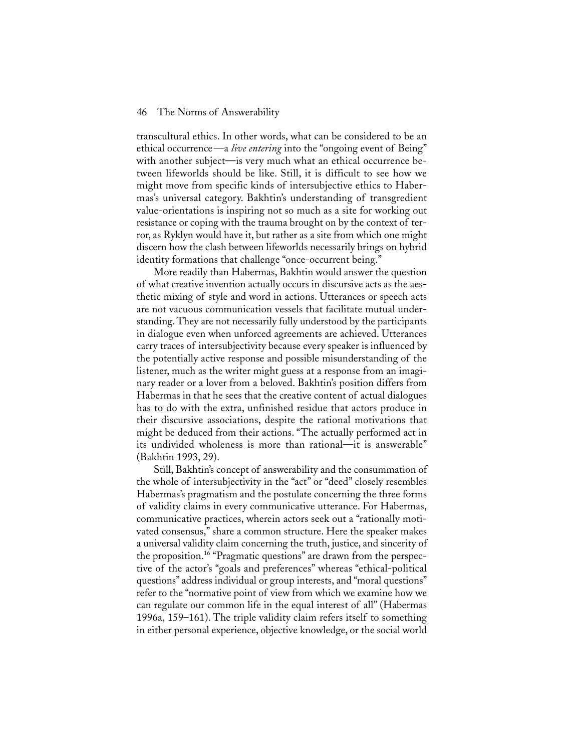transcultural ethics. In other words, what can be considered to be an ethical occurrence—a *live entering* into the "ongoing event of Being" with another subject—is very much what an ethical occurrence between lifeworlds should be like. Still, it is difficult to see how we might move from specific kinds of intersubjective ethics to Habermas's universal category. Bakhtin's understanding of transgredient value-orientations is inspiring not so much as a site for working out resistance or coping with the trauma brought on by the context of terror, as Ryklyn would have it, but rather as a site from which one might discern how the clash between lifeworlds necessarily brings on hybrid identity formations that challenge "once-occurrent being."

More readily than Habermas, Bakhtin would answer the question of what creative invention actually occurs in discursive acts as the aesthetic mixing of style and word in actions. Utterances or speech acts are not vacuous communication vessels that facilitate mutual understanding. They are not necessarily fully understood by the participants in dialogue even when unforced agreements are achieved. Utterances carry traces of intersubjectivity because every speaker is influenced by the potentially active response and possible misunderstanding of the listener, much as the writer might guess at a response from an imaginary reader or a lover from a beloved. Bakhtin's position differs from Habermas in that he sees that the creative content of actual dialogues has to do with the extra, unfinished residue that actors produce in their discursive associations, despite the rational motivations that might be deduced from their actions. "The actually performed act in its undivided wholeness is more than rational—it is answerable" (Bakhtin 1993, 29).

Still, Bakhtin's concept of answerability and the consummation of the whole of intersubjectivity in the "act" or "deed" closely resembles Habermas's pragmatism and the postulate concerning the three forms of validity claims in every communicative utterance. For Habermas, communicative practices, wherein actors seek out a "rationally motivated consensus," share a common structure. Here the speaker makes a universal validity claim concerning the truth, justice, and sincerity of the proposition.<sup>16</sup> "Pragmatic questions" are drawn from the perspective of the actor's "goals and preferences" whereas "ethical-political questions" address individual or group interests, and "moral questions" refer to the "normative point of view from which we examine how we can regulate our common life in the equal interest of all" (Habermas 1996a, 159–161). The triple validity claim refers itself to something in either personal experience, objective knowledge, or the social world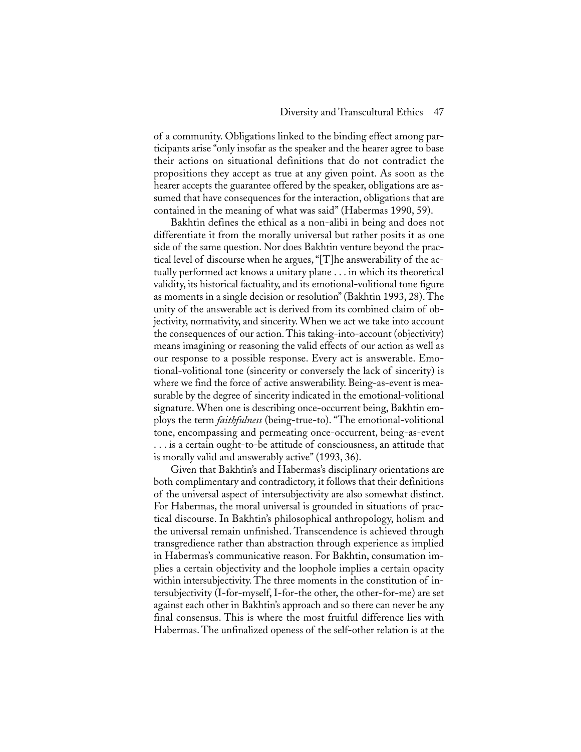of a community. Obligations linked to the binding effect among participants arise "only insofar as the speaker and the hearer agree to base their actions on situational definitions that do not contradict the propositions they accept as true at any given point. As soon as the hearer accepts the guarantee offered by the speaker, obligations are assumed that have consequences for the interaction, obligations that are contained in the meaning of what was said" (Habermas 1990, 59).

Bakhtin defines the ethical as a non-alibi in being and does not differentiate it from the morally universal but rather posits it as one side of the same question. Nor does Bakhtin venture beyond the practical level of discourse when he argues, "[T]he answerability of the actually performed act knows a unitary plane . . . in which its theoretical validity, its historical factuality, and its emotional-volitional tone figure as moments in a single decision or resolution" (Bakhtin 1993, 28). The unity of the answerable act is derived from its combined claim of objectivity, normativity, and sincerity. When we act we take into account the consequences of our action. This taking-into-account (objectivity) means imagining or reasoning the valid effects of our action as well as our response to a possible response. Every act is answerable. Emotional-volitional tone (sincerity or conversely the lack of sincerity) is where we find the force of active answerability. Being-as-event is measurable by the degree of sincerity indicated in the emotional-volitional signature. When one is describing once-occurrent being, Bakhtin employs the term *faithfulness* (being-true-to). "The emotional-volitional tone, encompassing and permeating once-occurrent, being-as-event . . . is a certain ought-to-be attitude of consciousness, an attitude that is morally valid and answerably active" (1993, 36).

Given that Bakhtin's and Habermas's disciplinary orientations are both complimentary and contradictory, it follows that their definitions of the universal aspect of intersubjectivity are also somewhat distinct. For Habermas, the moral universal is grounded in situations of practical discourse. In Bakhtin's philosophical anthropology, holism and the universal remain unfinished. Transcendence is achieved through transgredience rather than abstraction through experience as implied in Habermas's communicative reason. For Bakhtin, consumation implies a certain objectivity and the loophole implies a certain opacity within intersubjectivity. The three moments in the constitution of intersubjectivity (I-for-myself, I-for-the other, the other-for-me) are set against each other in Bakhtin's approach and so there can never be any final consensus. This is where the most fruitful difference lies with Habermas. The unfinalized openess of the self-other relation is at the